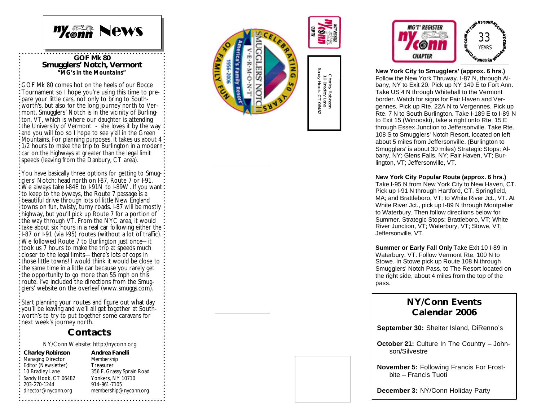

**GOF Mk 80 Smugglers' Notch, Vermont** *"MG's in the Mountains"*

GOF Mk 80 comes hot on the heels of our Bocce Tournament so I hope you're using this time to prepare your little cars, not only to bring to Southworth's, but also for the long journey north to Vermont. Smugglers' Notch is in the vicinity of Burlington, VT, which is where our daughter is attending the University of Vermont - she loves it by the way and you will too so I hope to see y'all in the Green Mountains. For planning purposes, it takes us about 4 1/2 hours to make the trip to Burlington in a modern car on the highways at greater than the legal limit speeds (leaving from the Danbury, CT area).

You have basically three options for getting to Smugdlers' Notch: head north on I-87, Route 7 or I-91. We always take I-84E to I-91N to I-89W. If you want: to keep to the byways, the Route 7 passage is a beautiful drive through lots of little New England towns on fun, twisty, turny roads. I -87 will be mostly highway, but you'll pick up Route 7 for a portion of the way through VT. From the NYC area, it would :<br>take about six hours in a real car following either the:  $t$  1-87 or 1-91 (via I-95) routes (without a lot of traffic). We followed Route 7 to Burlington just once—it took us 7 hours to make the trip at speeds much closer to the legal limits —there's lots of cops in those little towns! I would think it would be close to the same time in a little car because you rarely get the opportunity to go more than 55 mph on this route. I've included the directions from the Smugglers' website on the overleaf (www.smuggs.com).

Start planning your routes and figure out what day you'll be leaving and we'll all get together at Southworth's to try to put together some caravans for next week's journey north.

### **Contacts**

NY/Conn Website: http://nyconn.org

**Charley Robinson** Managing Director

10 Bradley Lane

203 -270 -1244

**Andrea Fanelli** Membership Treasurer 356 E. Grassy Sprain Road Yonkers, NY 10710 914 -961 -7105 membership@nyconn.org Editor (Newsletter) Sandy Hook, CT 06482 director@nyconn.org





**New York City to Smugglers' (approx. 6 hrs.)** Follow the New York Thruway. I -87 N, through Albany, NY to Exit 20. Pick up NY 149 E to Fort Ann. Take US 4 N through Whitehall to the Vermont border. Watch for signs for Fair Haven and Vergennes. Pick up Rte. 22A N to Vergennes. Pick up Rte. 7 N to South Burlington. Take I -189 E to I -89 N to Exit 15 (Winooski), take a right onto Rte. 15 E through Essex Junction to Jeffersonville. Take Rte. 108 S to Smugglers' Notch Resort, located on left about 5 miles from Jeffersonville. (Burlington to Smugglers' is about 30 miles) Strategic Stops: Albany, NY; Glens Falls, NY; Fair Haven, VT; Burlington, VT; Jeffersonville, VT.

#### **New York City Popular Route (approx. 6 hrs.)**

Take I -95 N from New York City to New Haven, CT. Pick up I -91 N through Hartford, CT, Springfield, MA; and Brattleboro, VT; to White River Jct., VT. At White River Jct., pick up I -89 N through Montpelier to Waterbury. Then follow directions below for Summer. Strategic Stops: Brattleboro, VT; White River Junction, VT; Waterbury, VT; Stowe, VT; Jeffersonville, VT.

**Summer or Early Fall Only** Take Exit 10 I -89 in Waterbury, VT. Follow Vermont Rte. 100 N to Stowe. In Stowe pick up Route 108 N through Smugglers' Notch Pass, to The Resort located on the right side, about 4 miles from the top of the pass.

### **NY/Conn Events Calendar 2006**

**September 30:** Shelter Island, DiRenno's

**October 21:** Culture In The Country – Johnson/Silvestre

**November 5:** Following Francis For Frostbite – Francis Tuoti

**December 3:** NY/Conn Holiday Party